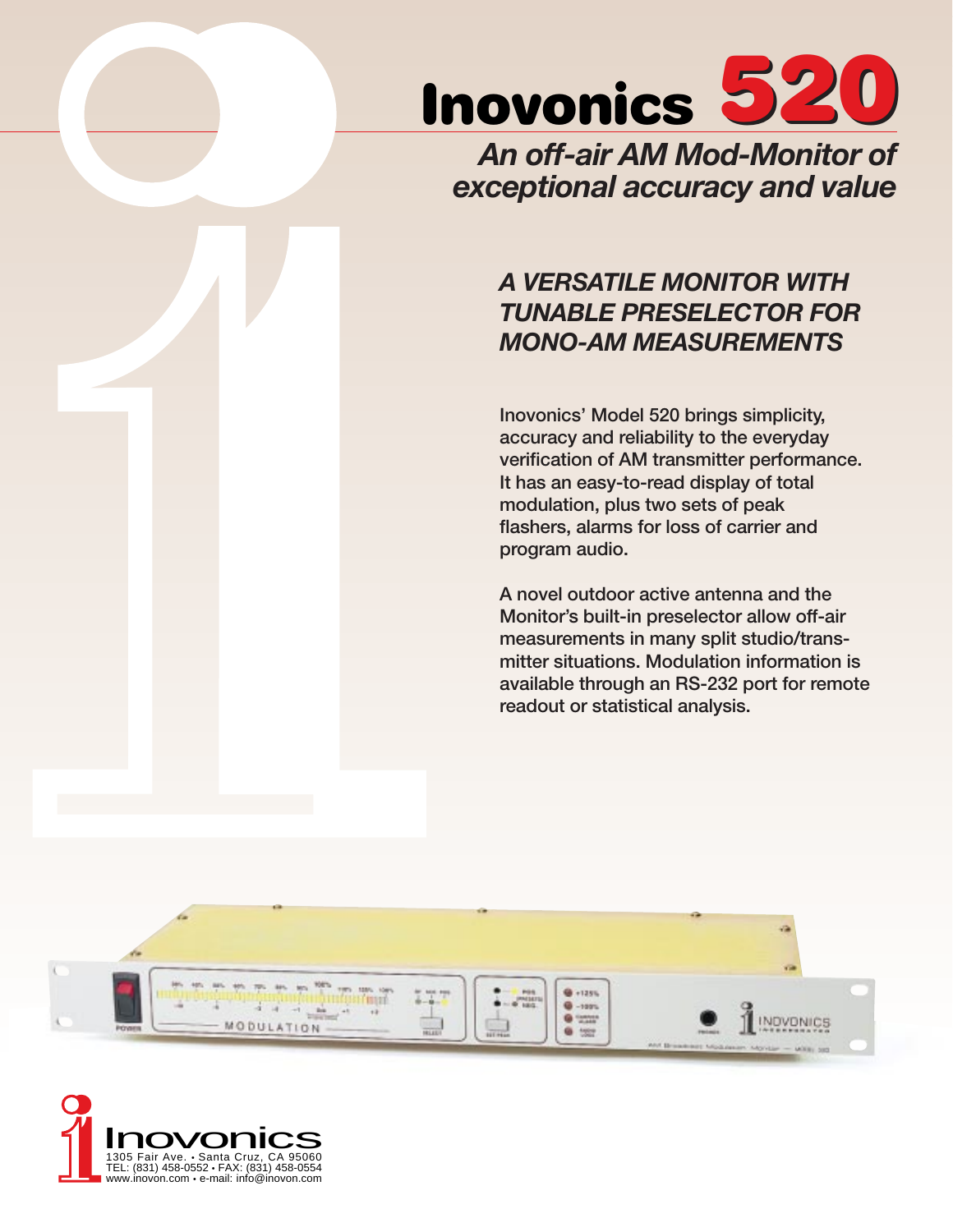

*An off-air AM Mod-Monitor of exceptional accuracy and value*

# *A VERSATILE MONITOR WITH TUNABLE PRESELECTOR FOR MONO-AM MEASUREMENTS*

Inovonics' Model 520 brings simplicity, accuracy and reliability to the everyday verification of AM transmitter performance. It has an easy-to-read display of total modulation, plus two sets of peak flashers, alarms for loss of carrier and program audio.

A novel outdoor active antenna and the Monitor's built-in preselector allow off-air measurements in many split studio/transmitter situations. Modulation information is available through an RS-232 port for remote readout or statistical analysis.